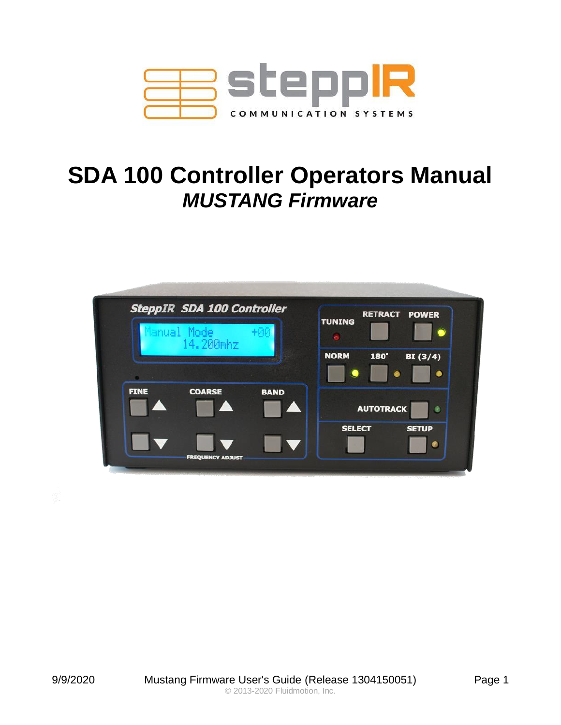

# **SDA 100 Controller Operators Manual** *MUSTANG Firmware*

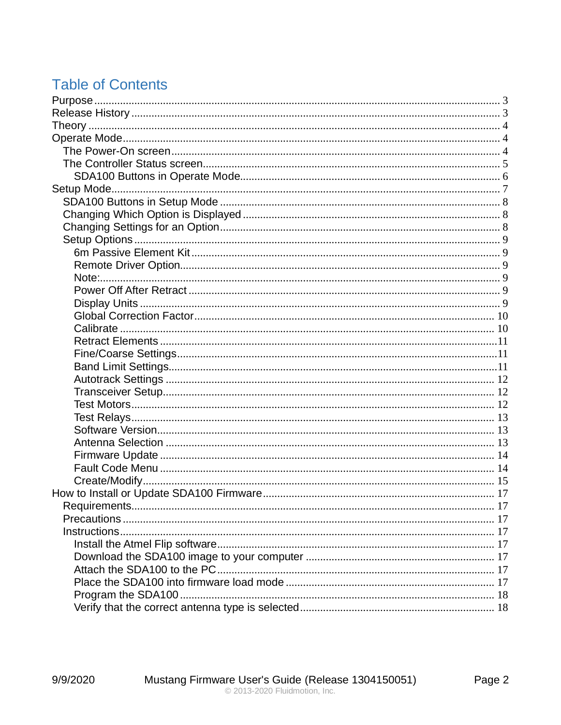# **Table of Contents**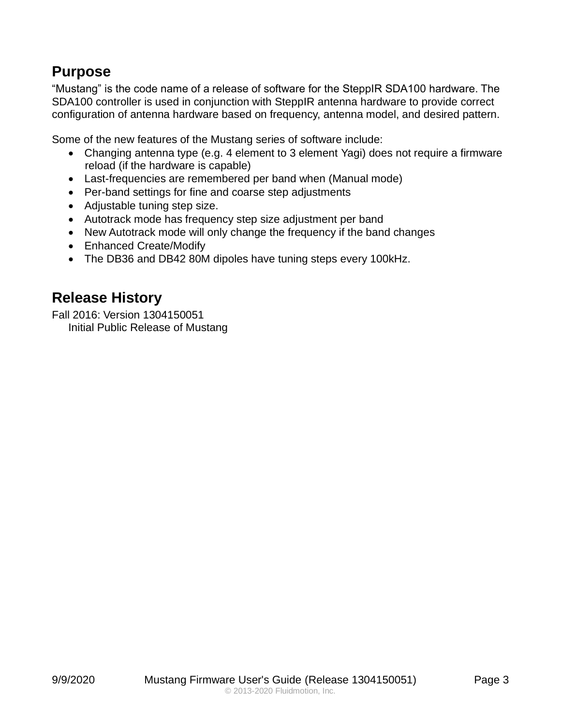# <span id="page-2-0"></span>**Purpose**

"Mustang" is the code name of a release of software for the SteppIR SDA100 hardware. The SDA100 controller is used in conjunction with SteppIR antenna hardware to provide correct configuration of antenna hardware based on frequency, antenna model, and desired pattern.

Some of the new features of the Mustang series of software include:

- Changing antenna type (e.g. 4 element to 3 element Yagi) does not require a firmware reload (if the hardware is capable)
- Last-frequencies are remembered per band when (Manual mode)
- Per-band settings for fine and coarse step adjustments
- Adjustable tuning step size.
- Autotrack mode has frequency step size adjustment per band
- New Autotrack mode will only change the frequency if the band changes
- Enhanced Create/Modify
- The DB36 and DB42 80M dipoles have tuning steps every 100kHz.

# <span id="page-2-1"></span>**Release History**

Fall 2016: Version 1304150051 Initial Public Release of Mustang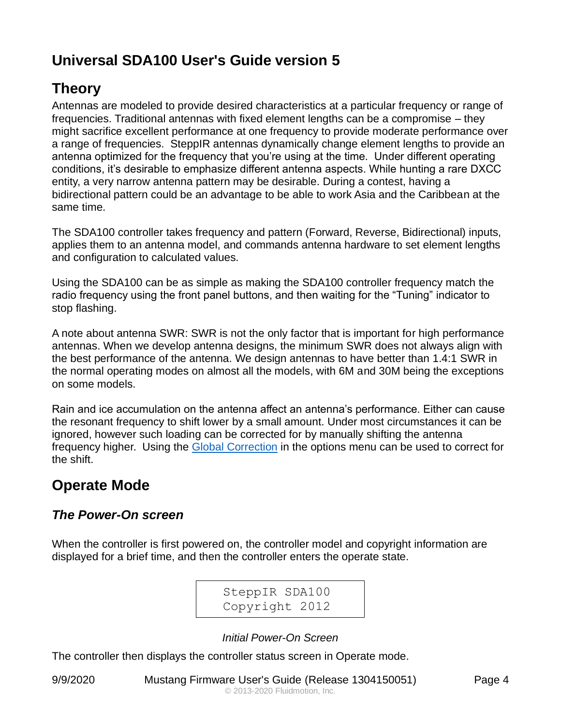# **Universal SDA100 User's Guide version 5**

# <span id="page-3-0"></span>**Theory**

Antennas are modeled to provide desired characteristics at a particular frequency or range of frequencies. Traditional antennas with fixed element lengths can be a compromise – they might sacrifice excellent performance at one frequency to provide moderate performance over a range of frequencies. SteppIR antennas dynamically change element lengths to provide an antenna optimized for the frequency that you're using at the time. Under different operating conditions, it's desirable to emphasize different antenna aspects. While hunting a rare DXCC entity, a very narrow antenna pattern may be desirable. During a contest, having a bidirectional pattern could be an advantage to be able to work Asia and the Caribbean at the same time.

The SDA100 controller takes frequency and pattern (Forward, Reverse, Bidirectional) inputs, applies them to an antenna model, and commands antenna hardware to set element lengths and configuration to calculated values.

Using the SDA100 can be as simple as making the SDA100 controller frequency match the radio frequency using the front panel buttons, and then waiting for the "Tuning" indicator to stop flashing.

A note about antenna SWR: SWR is not the only factor that is important for high performance antennas. When we develop antenna designs, the minimum SWR does not always align with the best performance of the antenna. We design antennas to have better than 1.4:1 SWR in the normal operating modes on almost all the models, with 6M and 30M being the exceptions on some models.

Rain and ice accumulation on the antenna affect an antenna's performance. Either can cause the resonant frequency to shift lower by a small amount. Under most circumstances it can be ignored, however such loading can be corrected for by manually shifting the antenna frequency higher. Using the [Global Correction](#page-9-0) in the options menu can be used to correct for the shift.

# <span id="page-3-1"></span>**Operate Mode**

# <span id="page-3-2"></span>*The Power-On screen*

When the controller is first powered on, the controller model and copyright information are displayed for a brief time, and then the controller enters the operate state.

> SteppIR SDA100 Copyright 2012

*Initial Power-On Screen*

The controller then displays the controller status screen in Operate mode.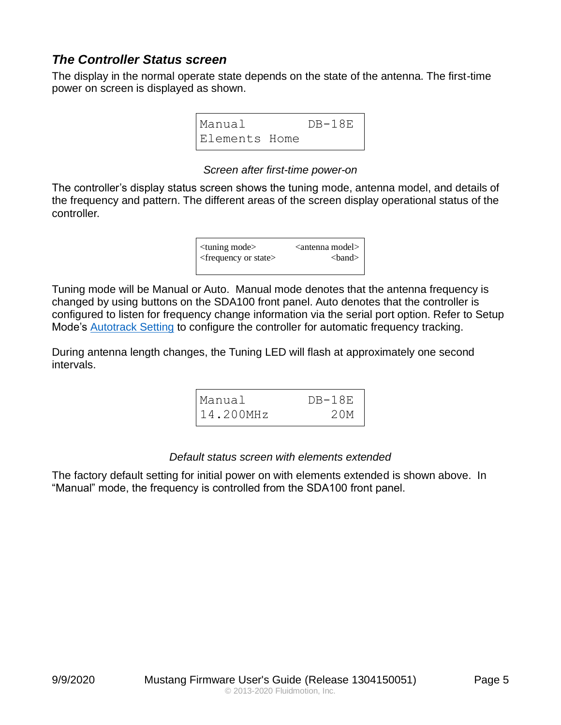# <span id="page-4-0"></span>*The Controller Status screen*

The display in the normal operate state depends on the state of the antenna. The first-time power on screen is displayed as shown.

| Manual        | $DB-18E$ |
|---------------|----------|
| Elements Home |          |

#### *Screen after first-time power-on*

The controller's display status screen shows the tuning mode, antenna model, and details of the frequency and pattern. The different areas of the screen display operational status of the controller.



Tuning mode will be Manual or Auto. Manual mode denotes that the antenna frequency is changed by using buttons on the SDA100 front panel. Auto denotes that the controller is configured to listen for frequency change information via the serial port option. Refer to Setup Mode's **Autotrack Setting** to configure the controller for automatic frequency tracking.

During antenna length changes, the Tuning LED will flash at approximately one second intervals.

| Manual       | $DB-18E$ |
|--------------|----------|
| $14.200$ MHz | 20M      |

#### *Default status screen with elements extended*

The factory default setting for initial power on with elements extended is shown above. In "Manual" mode, the frequency is controlled from the SDA100 front panel.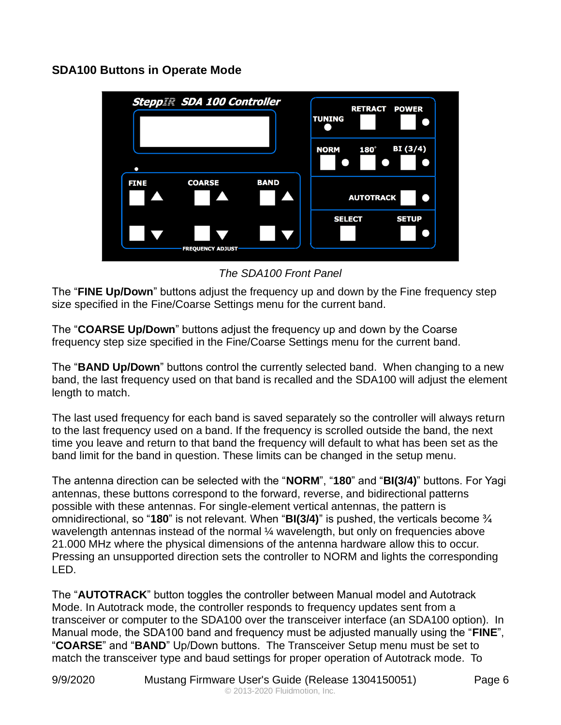#### <span id="page-5-0"></span>**SDA100 Buttons in Operate Mode**



*The SDA100 Front Panel*

The "**FINE Up/Down**" buttons adjust the frequency up and down by the Fine frequency step size specified in the Fine/Coarse Settings menu for the current band.

The "**COARSE Up/Down**" buttons adjust the frequency up and down by the Coarse frequency step size specified in the Fine/Coarse Settings menu for the current band.

The "**BAND Up/Down**" buttons control the currently selected band. When changing to a new band, the last frequency used on that band is recalled and the SDA100 will adjust the element length to match.

The last used frequency for each band is saved separately so the controller will always return to the last frequency used on a band. If the frequency is scrolled outside the band, the next time you leave and return to that band the frequency will default to what has been set as the band limit for the band in question. These limits can be changed in the setup menu.

The antenna direction can be selected with the "**NORM**", "**180**" and "**BI(3/4)**" buttons. For Yagi antennas, these buttons correspond to the forward, reverse, and bidirectional patterns possible with these antennas. For single-element vertical antennas, the pattern is omnidirectional, so "**180**" is not relevant. When "**BI(3/4)**" is pushed, the verticals become ¾ wavelength antennas instead of the normal 1/4 wavelength, but only on frequencies above 21.000 MHz where the physical dimensions of the antenna hardware allow this to occur. Pressing an unsupported direction sets the controller to NORM and lights the corresponding LED.

The "**AUTOTRACK**" button toggles the controller between Manual model and Autotrack Mode. In Autotrack mode, the controller responds to frequency updates sent from a transceiver or computer to the SDA100 over the transceiver interface (an SDA100 option). In Manual mode, the SDA100 band and frequency must be adjusted manually using the "**FINE**", "**COARSE**" and "**BAND**" Up/Down buttons. The Transceiver Setup menu must be set to match the transceiver type and baud settings for proper operation of Autotrack mode. To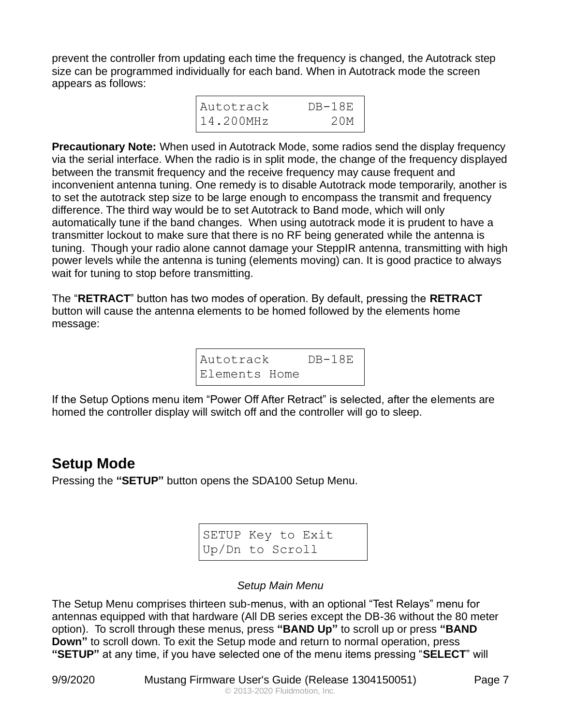prevent the controller from updating each time the frequency is changed, the Autotrack step size can be programmed individually for each band. When in Autotrack mode the screen appears as follows:

| Autotrack    | $DB-18E$ |
|--------------|----------|
| $14.200$ MHz | 20M      |

**Precautionary Note:** When used in Autotrack Mode, some radios send the display frequency via the serial interface. When the radio is in split mode, the change of the frequency displayed between the transmit frequency and the receive frequency may cause frequent and inconvenient antenna tuning. One remedy is to disable Autotrack mode temporarily, another is to set the autotrack step size to be large enough to encompass the transmit and frequency difference. The third way would be to set Autotrack to Band mode, which will only automatically tune if the band changes. When using autotrack mode it is prudent to have a transmitter lockout to make sure that there is no RF being generated while the antenna is tuning. Though your radio alone cannot damage your SteppIR antenna, transmitting with high power levels while the antenna is tuning (elements moving) can. It is good practice to always wait for tuning to stop before transmitting.

The "**RETRACT**" button has two modes of operation. By default, pressing the **RETRACT** button will cause the antenna elements to be homed followed by the elements home message:

| Autotrack     |  | $DB-18E$ |
|---------------|--|----------|
| Elements Home |  |          |

If the Setup Options menu item "Power Off After Retract" is selected, after the elements are homed the controller display will switch off and the controller will go to sleep.

# <span id="page-6-0"></span>**Setup Mode**

Pressing the **"SETUP"** button opens the SDA100 Setup Menu.

| SETUP Key to Exit |  |
|-------------------|--|
| Up/Dn to Scroll   |  |

#### *Setup Main Menu*

The Setup Menu comprises thirteen sub-menus, with an optional "Test Relays" menu for antennas equipped with that hardware (All DB series except the DB-36 without the 80 meter option). To scroll through these menus, press **"BAND Up"** to scroll up or press **"BAND Down"** to scroll down. To exit the Setup mode and return to normal operation, press **"SETUP"** at any time, if you have selected one of the menu items pressing "**SELECT**" will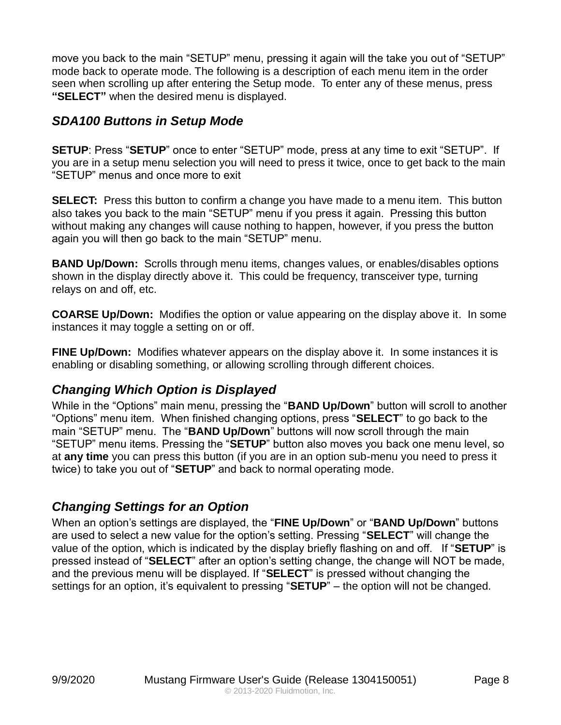move you back to the main "SETUP" menu, pressing it again will the take you out of "SETUP" mode back to operate mode. The following is a description of each menu item in the order seen when scrolling up after entering the Setup mode. To enter any of these menus, press **"SELECT"** when the desired menu is displayed.

# <span id="page-7-0"></span>*SDA100 Buttons in Setup Mode*

**SETUP**: Press "**SETUP**" once to enter "SETUP" mode, press at any time to exit "SETUP". If you are in a setup menu selection you will need to press it twice, once to get back to the main "SETUP" menus and once more to exit

**SELECT:** Press this button to confirm a change you have made to a menu item. This button also takes you back to the main "SETUP" menu if you press it again. Pressing this button without making any changes will cause nothing to happen, however, if you press the button again you will then go back to the main "SETUP" menu.

**BAND Up/Down:** Scrolls through menu items, changes values, or enables/disables options shown in the display directly above it. This could be frequency, transceiver type, turning relays on and off, etc.

**COARSE Up/Down:** Modifies the option or value appearing on the display above it. In some instances it may toggle a setting on or off.

**FINE Up/Down:** Modifies whatever appears on the display above it. In some instances it is enabling or disabling something, or allowing scrolling through different choices.

# <span id="page-7-1"></span>*Changing Which Option is Displayed*

While in the "Options" main menu, pressing the "**BAND Up/Down**" button will scroll to another "Options" menu item. When finished changing options, press "**SELECT**" to go back to the main "SETUP" menu. The "**BAND Up/Down**" buttons will now scroll through the main "SETUP" menu items. Pressing the "**SETUP**" button also moves you back one menu level, so at **any time** you can press this button (if you are in an option sub-menu you need to press it twice) to take you out of "**SETUP**" and back to normal operating mode.

# <span id="page-7-2"></span>*Changing Settings for an Option*

When an option's settings are displayed, the "**FINE Up/Down**" or "**BAND Up/Down**" buttons are used to select a new value for the option's setting. Pressing "**SELECT**" will change the value of the option, which is indicated by the display briefly flashing on and off. If "**SETUP**" is pressed instead of "**SELECT**" after an option's setting change, the change will NOT be made, and the previous menu will be displayed. If "**SELECT**" is pressed without changing the settings for an option, it's equivalent to pressing "**SETUP**" – the option will not be changed.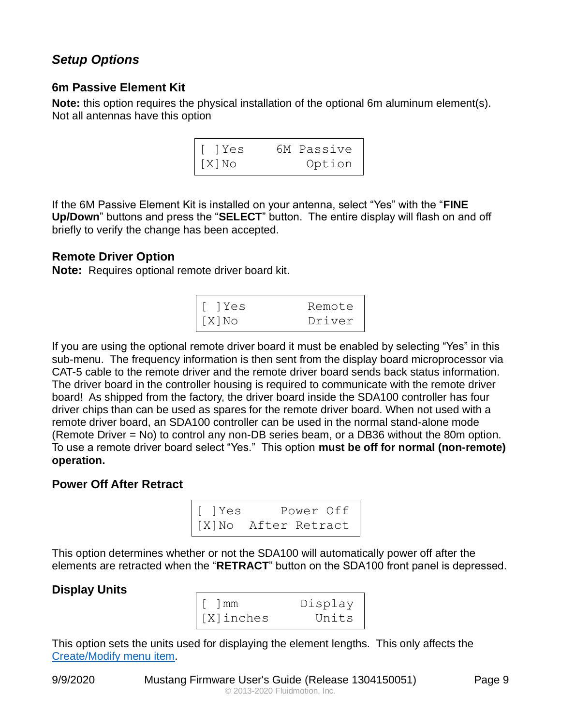# <span id="page-8-0"></span>*Setup Options*

#### <span id="page-8-1"></span>**6m Passive Element Kit**

**Note:** this option requires the physical installation of the optional 6m aluminum element(s). Not all antennas have this option

| I[ ]Yes | 6M Passive |
|---------|------------|
| [X]No   | Option     |

If the 6M Passive Element Kit is installed on your antenna, select "Yes" with the "**FINE Up/Down**" buttons and press the "**SELECT**" button. The entire display will flash on and off briefly to verify the change has been accepted.

#### <span id="page-8-2"></span>**Remote Driver Option**

<span id="page-8-3"></span>**Note:** Requires optional remote driver board kit.

| [ ]Yes         | Remote |
|----------------|--------|
| $\vert$ [X] No | Driver |

If you are using the optional remote driver board it must be enabled by selecting "Yes" in this sub-menu. The frequency information is then sent from the display board microprocessor via CAT-5 cable to the remote driver and the remote driver board sends back status information. The driver board in the controller housing is required to communicate with the remote driver board! As shipped from the factory, the driver board inside the SDA100 controller has four driver chips than can be used as spares for the remote driver board. When not used with a remote driver board, an SDA100 controller can be used in the normal stand-alone mode (Remote Driver = No) to control any non-DB series beam, or a DB36 without the 80m option. To use a remote driver board select "Yes." This option **must be off for normal (non-remote) operation.**

#### <span id="page-8-4"></span>**Power Off After Retract**

| [ ]Yes | Power Off           |
|--------|---------------------|
|        | [X]No After Retract |

This option determines whether or not the SDA100 will automatically power off after the elements are retracted when the "**RETRACT**" button on the SDA100 front panel is depressed.

# <span id="page-8-5"></span>**Display Units**

| $\lceil$ $\lceil$ mm | Display |
|----------------------|---------|
| [X]inches            | Units   |

This option sets the units used for displaying the element lengths. This only affects the [Create/Modify menu item.](#page-14-0)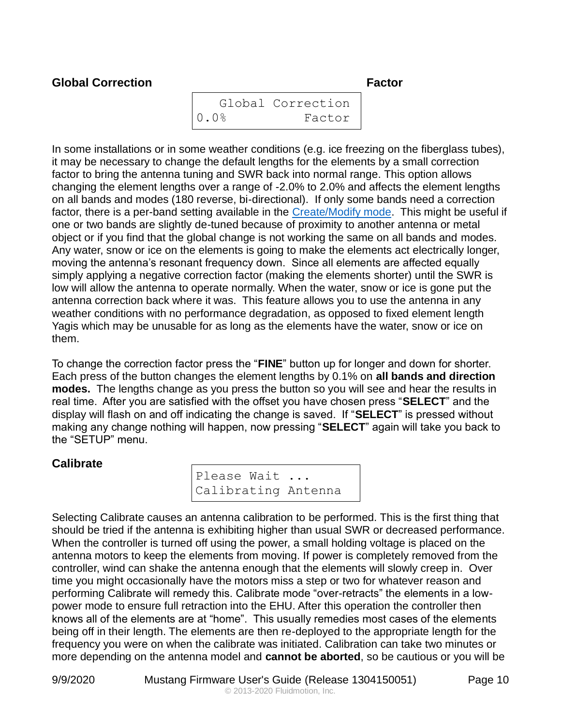### <span id="page-9-0"></span>**Global Correction Factor**

```
 Global Correction
0.0% Factor
```
In some installations or in some weather conditions (e.g. ice freezing on the fiberglass tubes), it may be necessary to change the default lengths for the elements by a small correction factor to bring the antenna tuning and SWR back into normal range. This option allows changing the element lengths over a range of -2.0% to 2.0% and affects the element lengths on all bands and modes (180 reverse, bi-directional). If only some bands need a correction factor, there is a per-band setting available in the [Create/Modify mode.](#page-14-0) This might be useful if one or two bands are slightly de-tuned because of proximity to another antenna or metal object or if you find that the global change is not working the same on all bands and modes. Any water, snow or ice on the elements is going to make the elements act electrically longer, moving the antenna's resonant frequency down. Since all elements are affected equally simply applying a negative correction factor (making the elements shorter) until the SWR is low will allow the antenna to operate normally. When the water, snow or ice is gone put the antenna correction back where it was. This feature allows you to use the antenna in any weather conditions with no performance degradation, as opposed to fixed element length Yagis which may be unusable for as long as the elements have the water, snow or ice on them.

To change the correction factor press the "**FINE**" button up for longer and down for shorter. Each press of the button changes the element lengths by 0.1% on **all bands and direction modes.** The lengths change as you press the button so you will see and hear the results in real time. After you are satisfied with the offset you have chosen press "**SELECT**" and the display will flash on and off indicating the change is saved. If "**SELECT**" is pressed without making any change nothing will happen, now pressing "**SELECT**" again will take you back to the "SETUP" menu.

#### <span id="page-9-1"></span>**Calibrate**

Please Wait ... Calibrating Antenna

Selecting Calibrate causes an antenna calibration to be performed. This is the first thing that should be tried if the antenna is exhibiting higher than usual SWR or decreased performance. When the controller is turned off using the power, a small holding voltage is placed on the antenna motors to keep the elements from moving. If power is completely removed from the controller, wind can shake the antenna enough that the elements will slowly creep in. Over time you might occasionally have the motors miss a step or two for whatever reason and performing Calibrate will remedy this. Calibrate mode "over-retracts" the elements in a lowpower mode to ensure full retraction into the EHU. After this operation the controller then knows all of the elements are at "home". This usually remedies most cases of the elements being off in their length. The elements are then re-deployed to the appropriate length for the frequency you were on when the calibrate was initiated. Calibration can take two minutes or more depending on the antenna model and **cannot be aborted**, so be cautious or you will be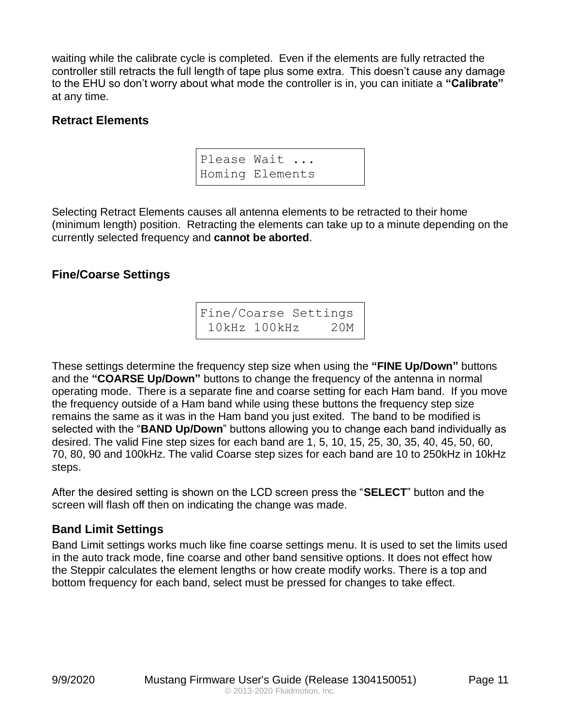waiting while the calibrate cycle is completed. Even if the elements are fully retracted the controller still retracts the full length of tape plus some extra. This doesn't cause any damage to the EHU so don't worry about what mode the controller is in, you can initiate a **"Calibrate"**  at any time.

#### <span id="page-10-0"></span>**Retract Elements**

Please Wait ... Homing Elements

Selecting Retract Elements causes all antenna elements to be retracted to their home (minimum length) position. Retracting the elements can take up to a minute depending on the currently selected frequency and **cannot be aborted**.

#### <span id="page-10-1"></span>**Fine/Coarse Settings**

Fine/Coarse Settings 10kHz 100kHz 20M

These settings determine the frequency step size when using the **"FINE Up/Down"** buttons and the **"COARSE Up/Down"** buttons to change the frequency of the antenna in normal operating mode. There is a separate fine and coarse setting for each Ham band. If you move the frequency outside of a Ham band while using these buttons the frequency step size remains the same as it was in the Ham band you just exited. The band to be modified is selected with the "**BAND Up/Down**" buttons allowing you to change each band individually as desired. The valid Fine step sizes for each band are 1, 5, 10, 15, 25, 30, 35, 40, 45, 50, 60, 70, 80, 90 and 100kHz. The valid Coarse step sizes for each band are 10 to 250kHz in 10kHz steps.

After the desired setting is shown on the LCD screen press the "**SELECT**" button and the screen will flash off then on indicating the change was made.

#### <span id="page-10-2"></span>**Band Limit Settings**

Band Limit settings works much like fine coarse settings menu. It is used to set the limits used in the auto track mode, fine coarse and other band sensitive options. It does not effect how the Steppir calculates the element lengths or how create modify works. There is a top and bottom frequency for each band, select must be pressed for changes to take effect.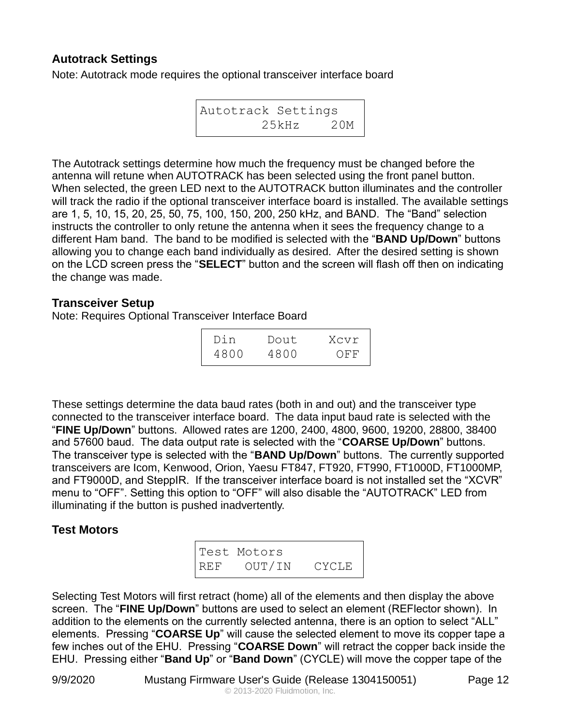#### <span id="page-11-0"></span>**Autotrack Settings**

Note: Autotrack mode requires the optional transceiver interface board

```
Autotrack Settings
        25kHz 20M
```
The Autotrack settings determine how much the frequency must be changed before the antenna will retune when AUTOTRACK has been selected using the front panel button. When selected, the green LED next to the AUTOTRACK button illuminates and the controller will track the radio if the optional transceiver interface board is installed. The available settings are 1, 5, 10, 15, 20, 25, 50, 75, 100, 150, 200, 250 kHz, and BAND. The "Band" selection instructs the controller to only retune the antenna when it sees the frequency change to a different Ham band. The band to be modified is selected with the "**BAND Up/Down**" buttons allowing you to change each band individually as desired. After the desired setting is shown on the LCD screen press the "**SELECT**" button and the screen will flash off then on indicating the change was made.

#### <span id="page-11-1"></span>**Transceiver Setup**

Note: Requires Optional Transceiver Interface Board

| Din  | Dout. | Xcvr |
|------|-------|------|
| 4800 | 4800  | OFF  |

These settings determine the data baud rates (both in and out) and the transceiver type connected to the transceiver interface board. The data input baud rate is selected with the "**FINE Up/Down**" buttons. Allowed rates are 1200, 2400, 4800, 9600, 19200, 28800, 38400 and 57600 baud. The data output rate is selected with the "**COARSE Up/Down**" buttons. The transceiver type is selected with the "**BAND Up/Down**" buttons. The currently supported transceivers are Icom, Kenwood, Orion, Yaesu FT847, FT920, FT990, FT1000D, FT1000MP, and FT9000D, and SteppIR. If the transceiver interface board is not installed set the "XCVR" menu to "OFF". Setting this option to "OFF" will also disable the "AUTOTRACK" LED from illuminating if the button is pushed inadvertently.

#### <span id="page-11-2"></span>**Test Motors**

|     | Test Motors |              |
|-----|-------------|--------------|
| REF | OUT/IN      | <b>CYCLE</b> |

Selecting Test Motors will first retract (home) all of the elements and then display the above screen. The "**FINE Up/Down**" buttons are used to select an element (REFlector shown). In addition to the elements on the currently selected antenna, there is an option to select "ALL" elements. Pressing "**COARSE Up**" will cause the selected element to move its copper tape a few inches out of the EHU. Pressing "**COARSE Down**" will retract the copper back inside the EHU. Pressing either "**Band Up**" or "**Band Down**" (CYCLE) will move the copper tape of the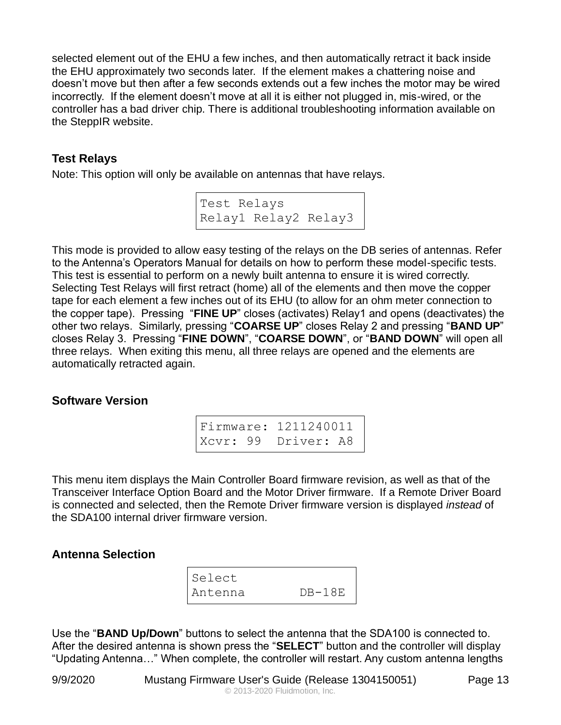selected element out of the EHU a few inches, and then automatically retract it back inside the EHU approximately two seconds later. If the element makes a chattering noise and doesn't move but then after a few seconds extends out a few inches the motor may be wired incorrectly. If the element doesn't move at all it is either not plugged in, mis-wired, or the controller has a bad driver chip. There is additional troubleshooting information available on the SteppIR website.

### <span id="page-12-0"></span>**Test Relays**

Note: This option will only be available on antennas that have relays.

Test Relays Relay1 Relay2 Relay3

This mode is provided to allow easy testing of the relays on the DB series of antennas. Refer to the Antenna's Operators Manual for details on how to perform these model-specific tests. This test is essential to perform on a newly built antenna to ensure it is wired correctly. Selecting Test Relays will first retract (home) all of the elements and then move the copper tape for each element a few inches out of its EHU (to allow for an ohm meter connection to the copper tape). Pressing "**FINE UP**" closes (activates) Relay1 and opens (deactivates) the other two relays. Similarly, pressing "**COARSE UP**" closes Relay 2 and pressing "**BAND UP**" closes Relay 3. Pressing "**FINE DOWN**", "**COARSE DOWN**", or "**BAND DOWN**" will open all three relays. When exiting this menu, all three relays are opened and the elements are automatically retracted again.

#### <span id="page-12-1"></span>**Software Version**

Firmware: 1211240011 Xcvr: 99 Driver: A8

This menu item displays the Main Controller Board firmware revision, as well as that of the Transceiver Interface Option Board and the Motor Driver firmware. If a Remote Driver Board is connected and selected, then the Remote Driver firmware version is displayed *instead* of the SDA100 internal driver firmware version.

# <span id="page-12-2"></span>**Antenna Selection**

| Select  |          |
|---------|----------|
| Antenna | $DB-18E$ |

Use the "**BAND Up/Down**" buttons to select the antenna that the SDA100 is connected to. After the desired antenna is shown press the "**SELECT**" button and the controller will display "Updating Antenna…" When complete, the controller will restart. Any custom antenna lengths

9/9/2020 Mustang Firmware User's Guide (Release 1304150051) Page 13 © 2013-2020 Fluidmotion, Inc.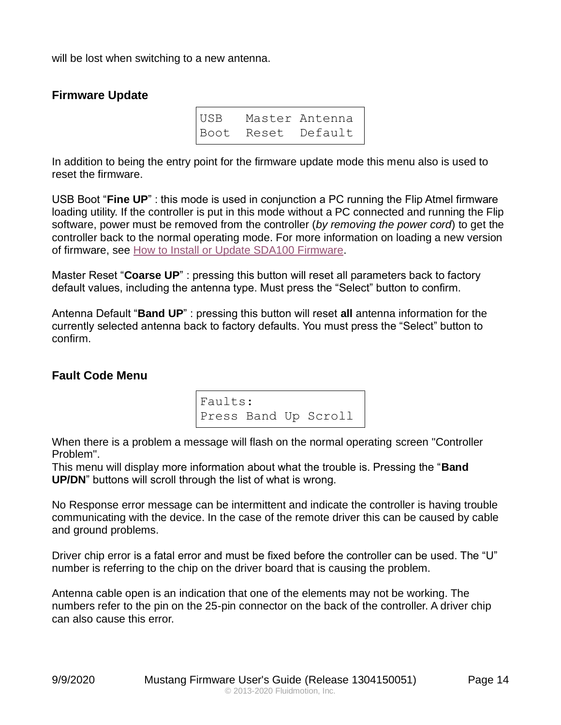will be lost when switching to a new antenna.

#### <span id="page-13-0"></span>**Firmware Update**

| USB | Master Antenna     |
|-----|--------------------|
|     | Boot Reset Default |

In addition to being the entry point for the firmware update mode this menu also is used to reset the firmware.

USB Boot "**Fine UP**" : this mode is used in conjunction a PC running the Flip Atmel firmware loading utility. If the controller is put in this mode without a PC connected and running the Flip software, power must be removed from the controller (*by removing the power cord*) to get the controller back to the normal operating mode. For more information on loading a new version of firmware, see [How to Install or Update SDA100 Firmware.](#page-16-0)

Master Reset "**Coarse UP**" : pressing this button will reset all parameters back to factory default values, including the antenna type. Must press the "Select" button to confirm.

Antenna Default "**Band UP**" : pressing this button will reset **all** antenna information for the currently selected antenna back to factory defaults. You must press the "Select" button to confirm.

#### <span id="page-13-1"></span>**Fault Code Menu**

Faults: Press Band Up Scroll

When there is a problem a message will flash on the normal operating screen "Controller Problem".

This menu will display more information about what the trouble is. Pressing the "**Band UP/DN**" buttons will scroll through the list of what is wrong.

No Response error message can be intermittent and indicate the controller is having trouble communicating with the device. In the case of the remote driver this can be caused by cable and ground problems.

Driver chip error is a fatal error and must be fixed before the controller can be used. The "U" number is referring to the chip on the driver board that is causing the problem.

Antenna cable open is an indication that one of the elements may not be working. The numbers refer to the pin on the 25-pin connector on the back of the controller. A driver chip can also cause this error.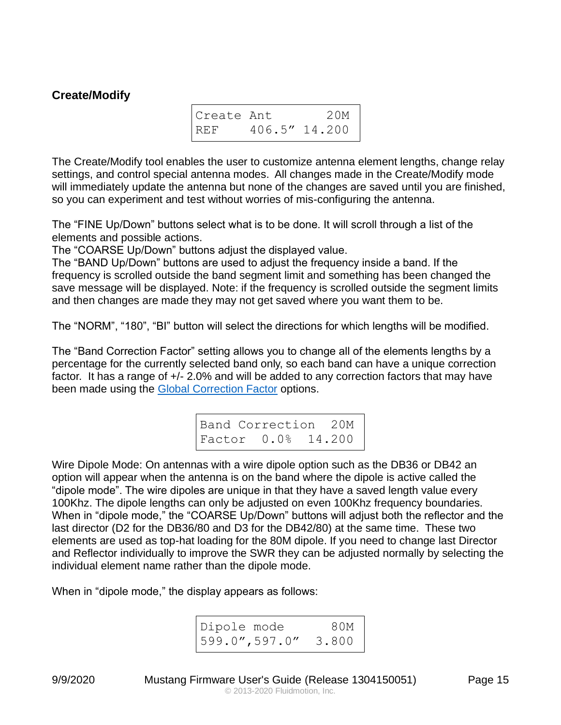#### <span id="page-14-0"></span>**Create/Modify**

| Create Ant    | 20M           |
|---------------|---------------|
| $ _{\rm REF}$ | 406.5" 14.200 |

The Create/Modify tool enables the user to customize antenna element lengths, change relay settings, and control special antenna modes. All changes made in the Create/Modify mode will immediately update the antenna but none of the changes are saved until you are finished, so you can experiment and test without worries of mis-configuring the antenna.

The "FINE Up/Down" buttons select what is to be done. It will scroll through a list of the elements and possible actions.

The "COARSE Up/Down" buttons adjust the displayed value.

The "BAND Up/Down" buttons are used to adjust the frequency inside a band. If the frequency is scrolled outside the band segment limit and something has been changed the save message will be displayed. Note: if the frequency is scrolled outside the segment limits and then changes are made they may not get saved where you want them to be.

The "NORM", "180", "BI" button will select the directions for which lengths will be modified.

The "Band Correction Factor" setting allows you to change all of the elements lengths by a percentage for the currently selected band only, so each band can have a unique correction factor. It has a range of  $+/- 2.0\%$  and will be added to any correction factors that may have been made using the [Global Correction Factor](#page-9-0) options.

> Band Correction 20M Factor 0.0% 14.200

Wire Dipole Mode: On antennas with a wire dipole option such as the DB36 or DB42 an option will appear when the antenna is on the band where the dipole is active called the "dipole mode". The wire dipoles are unique in that they have a saved length value every 100Khz. The dipole lengths can only be adjusted on even 100Khz frequency boundaries. When in "dipole mode," the "COARSE Up/Down" buttons will adjust both the reflector and the last director (D2 for the DB36/80 and D3 for the DB42/80) at the same time. These two elements are used as top-hat loading for the 80M dipole. If you need to change last Director and Reflector individually to improve the SWR they can be adjusted normally by selecting the individual element name rather than the dipole mode.

When in "dipole mode," the display appears as follows:

Dipole mode 80M 599.0",597.0" 3.800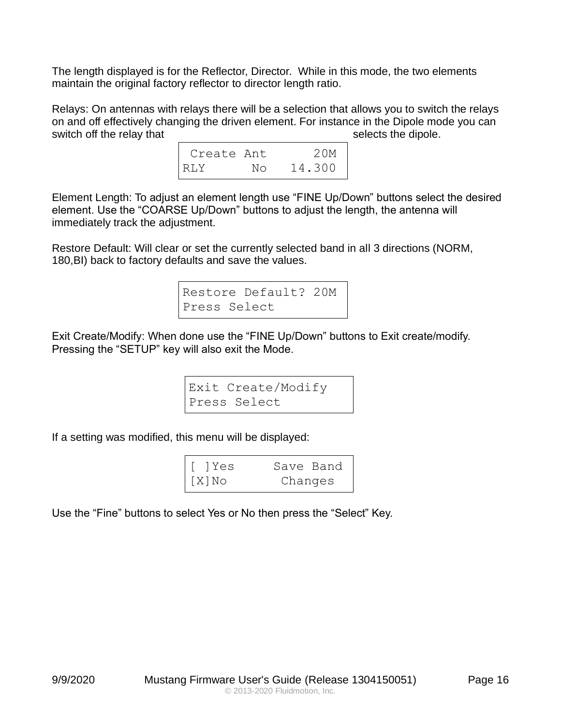The length displayed is for the Reflector, Director. While in this mode, the two elements maintain the original factory reflector to director length ratio.

Relays: On antennas with relays there will be a selection that allows you to switch the relays on and off effectively changing the driven element. For instance in the Dipole mode you can switch off the relay that selects the dipole.

| Create Ant |    | 20M    |
|------------|----|--------|
| RLY        | Nο | 14.300 |

Element Length: To adjust an element length use "FINE Up/Down" buttons select the desired element. Use the "COARSE Up/Down" buttons to adjust the length, the antenna will immediately track the adjustment.

Restore Default: Will clear or set the currently selected band in all 3 directions (NORM, 180,BI) back to factory defaults and save the values.

```
Restore Default? 20M
Press Select
```
Exit Create/Modify: When done use the "FINE Up/Down" buttons to Exit create/modify. Pressing the "SETUP" key will also exit the Mode.

> Exit Create/Modify Press Select

If a setting was modified, this menu will be displayed:

| [ 1Yes   | Save Band |
|----------|-----------|
| $[X]$ No | Changes   |

Use the "Fine" buttons to select Yes or No then press the "Select" Key.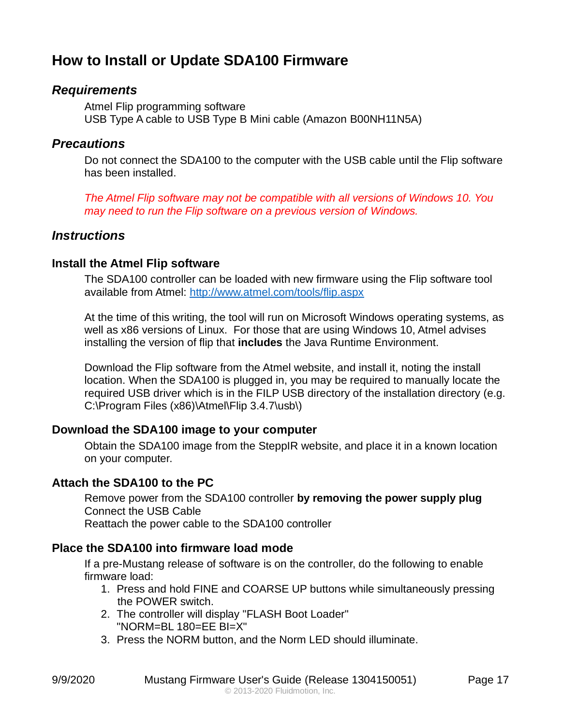# <span id="page-16-0"></span>**How to Install or Update SDA100 Firmware**

#### <span id="page-16-1"></span>*Requirements*

Atmel Flip programming software USB Type A cable to USB Type B Mini cable (Amazon B00NH11N5A)

### <span id="page-16-2"></span>*Precautions*

Do not connect the SDA100 to the computer with the USB cable until the Flip software has been installed.

*The Atmel Flip software may not be compatible with all versions of Windows 10. You may need to run the Flip software on a previous version of Windows.*

# <span id="page-16-3"></span>*Instructions*

#### <span id="page-16-4"></span>**Install the Atmel Flip software**

The SDA100 controller can be loaded with new firmware using the Flip software tool available from Atmel:<http://www.atmel.com/tools/flip.aspx>

At the time of this writing, the tool will run on Microsoft Windows operating systems, as well as x86 versions of Linux. For those that are using Windows 10, Atmel advises installing the version of flip that **includes** the Java Runtime Environment.

Download the Flip software from the Atmel website, and install it, noting the install location. When the SDA100 is plugged in, you may be required to manually locate the required USB driver which is in the FILP USB directory of the installation directory (e.g. C:\Program Files (x86)\Atmel\Flip 3.4.7\usb\)

#### <span id="page-16-5"></span>**Download the SDA100 image to your computer**

Obtain the SDA100 image from the SteppIR website, and place it in a known location on your computer.

#### <span id="page-16-6"></span>**Attach the SDA100 to the PC**

Remove power from the SDA100 controller **by removing the power supply plug** Connect the USB Cable

Reattach the power cable to the SDA100 controller

#### <span id="page-16-7"></span>**Place the SDA100 into firmware load mode**

If a pre-Mustang release of software is on the controller, do the following to enable firmware load:

- 1. Press and hold FINE and COARSE UP buttons while simultaneously pressing the POWER switch.
- 2. The controller will display "FLASH Boot Loader" "NORM=BL 180=EE BI=X"
- 3. Press the NORM button, and the Norm LED should illuminate.